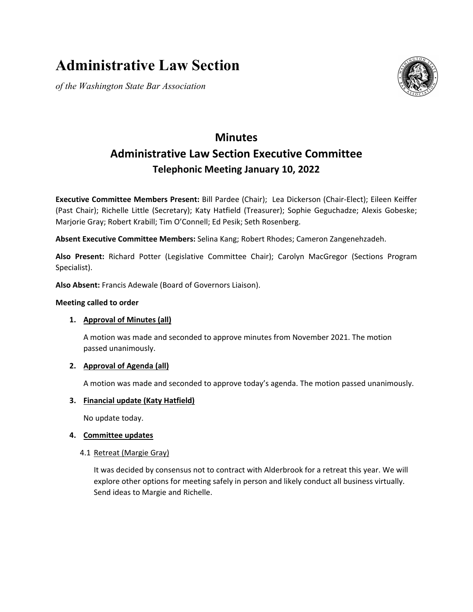# **Administrative Law Section**

*of the Washington State Bar Association*



# **Minutes Administrative Law Section Executive Committee Telephonic Meeting January 10, 2022**

**Executive Committee Members Present:** Bill Pardee (Chair); Lea Dickerson (Chair-Elect); Eileen Keiffer (Past Chair); Richelle Little (Secretary); Katy Hatfield (Treasurer); Sophie Geguchadze; Alexis Gobeske; Marjorie Gray; Robert Krabill; Tim O'Connell; Ed Pesik; Seth Rosenberg.

**Absent Executive Committee Members:** Selina Kang; Robert Rhodes; Cameron Zangenehzadeh.

**Also Present:** Richard Potter (Legislative Committee Chair); Carolyn MacGregor (Sections Program Specialist).

**Also Absent:** Francis Adewale (Board of Governors Liaison).

# **Meeting called to order**

# **1. Approval of Minutes (all)**

A motion was made and seconded to approve minutes from November 2021. The motion passed unanimously.

# **2. Approval of Agenda (all)**

A motion was made and seconded to approve today's agenda. The motion passed unanimously.

# **3. Financial update (Katy Hatfield)**

No update today.

# **4. Committee updates**

# 4.1 Retreat (Margie Gray)

It was decided by consensus not to contract with Alderbrook for a retreat this year. We will explore other options for meeting safely in person and likely conduct all business virtually. Send ideas to Margie and Richelle.